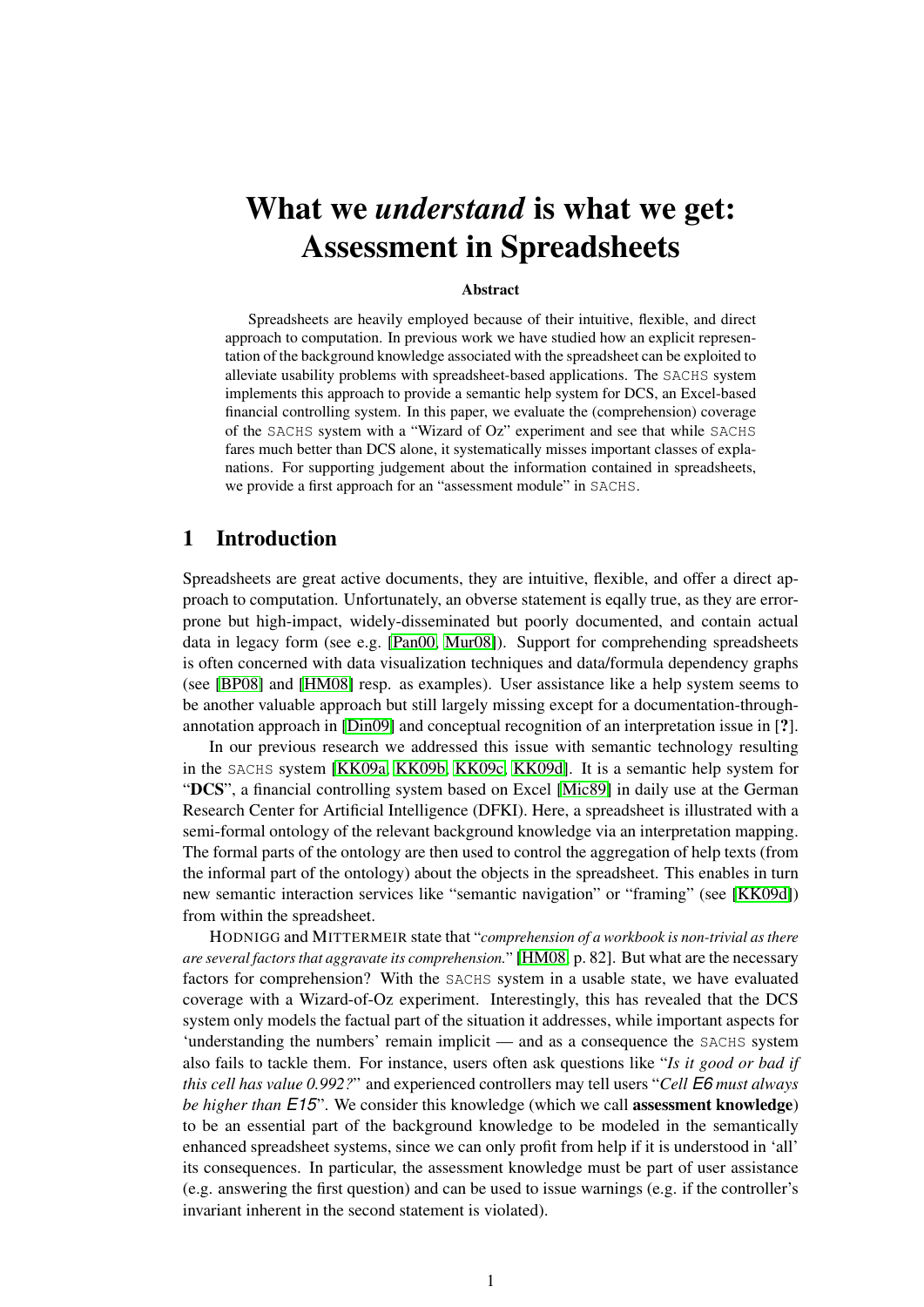# What we *understand* is what we get: Assessment in Spreadsheets

#### Abstract

Spreadsheets are heavily employed because of their intuitive, flexible, and direct approach to computation. In previous work we have studied how an explicit representation of the background knowledge associated with the spreadsheet can be exploited to alleviate usability problems with spreadsheet-based applications. The SACHS system implements this approach to provide a semantic help system for DCS, an Excel-based financial controlling system. In this paper, we evaluate the (comprehension) coverage of the SACHS system with a "Wizard of Oz" experiment and see that while SACHS fares much better than DCS alone, it systematically misses important classes of explanations. For supporting judgement about the information contained in spreadsheets, we provide a first approach for an "assessment module" in SACHS.

# 1 Introduction

Spreadsheets are great active documents, they are intuitive, flexible, and offer a direct approach to computation. Unfortunately, an obverse statement is eqally true, as they are errorprone but high-impact, widely-disseminated but poorly documented, and contain actual data in legacy form (see e.g. [\[Pan00,](#page-11-0) [Mur08\]](#page-11-1)). Support for comprehending spreadsheets is often concerned with data visualization techniques and data/formula dependency graphs (see [\[BP08\]](#page-10-0) and [\[HM08\]](#page-10-1) resp. as examples). User assistance like a help system seems to be another valuable approach but still largely missing except for a documentation-throughannotation approach in [\[Din09\]](#page-10-2) and conceptual recognition of an interpretation issue in [?].

In our previous research we addressed this issue with semantic technology resulting in the SACHS system [\[KK09a,](#page-10-3) [KK09b,](#page-10-4) [KK09c,](#page-11-2) [KK09d\]](#page-11-3). It is a semantic help system for "DCS", a financial controlling system based on Excel [\[Mic89\]](#page-11-4) in daily use at the German Research Center for Artificial Intelligence (DFKI). Here, a spreadsheet is illustrated with a semi-formal ontology of the relevant background knowledge via an interpretation mapping. The formal parts of the ontology are then used to control the aggregation of help texts (from the informal part of the ontology) about the objects in the spreadsheet. This enables in turn new semantic interaction services like "semantic navigation" or "framing" (see [\[KK09d\]](#page-11-3)) from within the spreadsheet.

HODNIGG and MITTERMEIR state that "*comprehension of a workbook is non-trivial as there are several factors that aggravate its comprehension.*" [\[HM08,](#page-10-1) p. 82]. But what are the necessary factors for comprehension? With the SACHS system in a usable state, we have evaluated coverage with a Wizard-of-Oz experiment. Interestingly, this has revealed that the DCS system only models the factual part of the situation it addresses, while important aspects for 'understanding the numbers' remain implicit — and as a consequence the SACHS system also fails to tackle them. For instance, users often ask questions like "*Is it good or bad if this cell has value 0.992?*" and experienced controllers may tell users "*Cell E6 must always be higher than E15*". We consider this knowledge (which we call assessment knowledge) to be an essential part of the background knowledge to be modeled in the semantically enhanced spreadsheet systems, since we can only profit from help if it is understood in 'all' its consequences. In particular, the assessment knowledge must be part of user assistance (e.g. answering the first question) and can be used to issue warnings (e.g. if the controller's invariant inherent in the second statement is violated).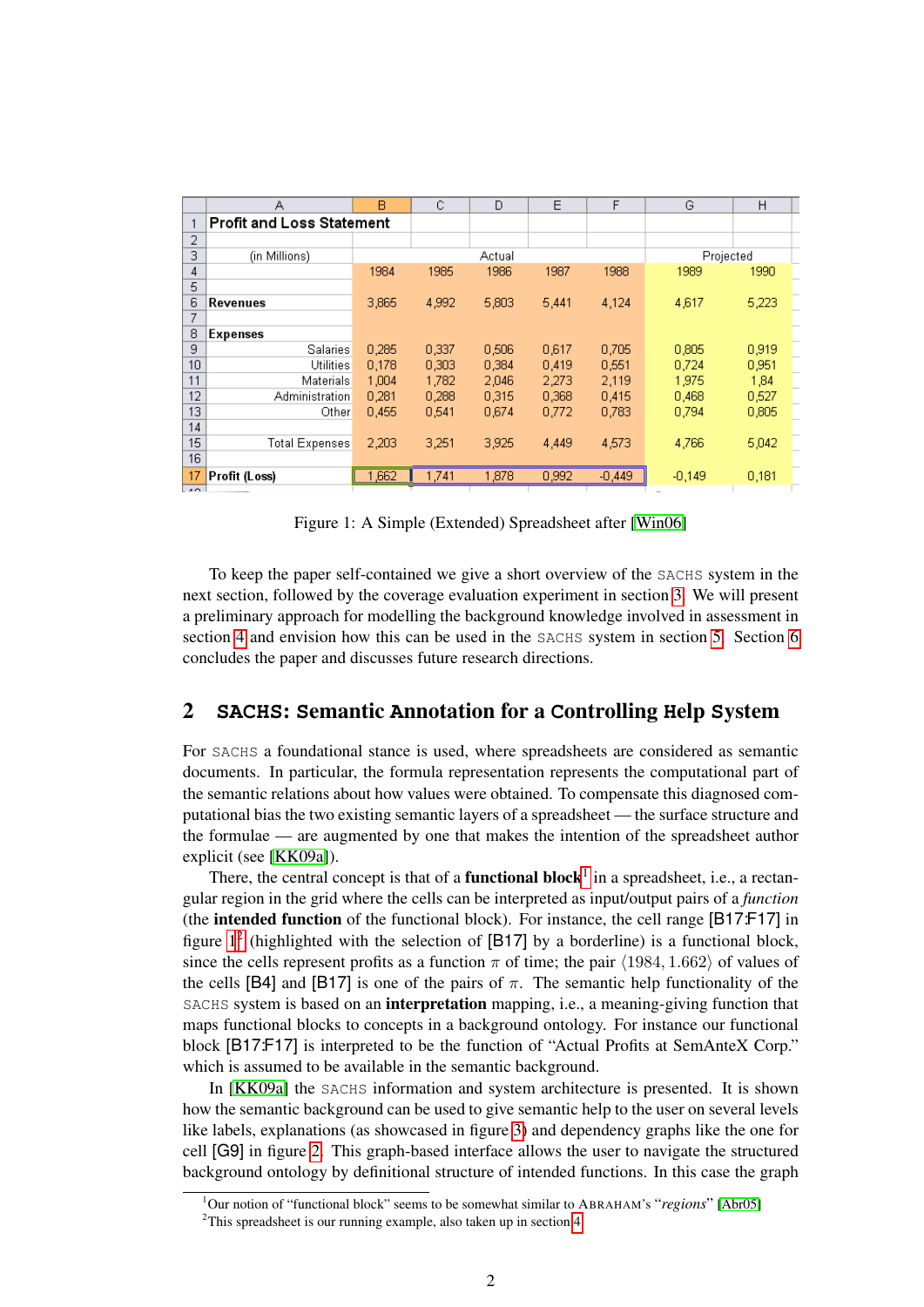|                       | А                                | B     | C      | D     | E     | F        | G         | H     |
|-----------------------|----------------------------------|-------|--------|-------|-------|----------|-----------|-------|
| и                     | <b>Profit and Loss Statement</b> |       |        |       |       |          |           |       |
| $\overline{2}$        |                                  |       |        |       |       |          |           |       |
| 3                     | (in Millions)                    |       | Actual |       |       |          | Projected |       |
| 4                     |                                  | 1984  | 1985   | 1986  | 1987  | 1988     | 1989      | 1990  |
| 5                     |                                  |       |        |       |       |          |           |       |
| 6                     | Revenues                         | 3,865 | 4,992  | 5,803 | 5,441 | 4,124    | 4,617     | 5,223 |
| 7                     |                                  |       |        |       |       |          |           |       |
| 8                     | Expenses                         |       |        |       |       |          |           |       |
| 9                     | Salaries                         | 0,285 | 0,337  | 0,506 | 0,617 | 0,705    | 0,805     | 0,919 |
| 10                    | Utilities                        | 0.178 | 0,303  | 0.384 | 0.419 | 0.551    | 0.724     | 0,951 |
| 11                    | Materials                        | 1,004 | 1,782  | 2.046 | 2.273 | 2,119    | 1,975     | 1,84  |
| 12                    | Administration                   | 0,281 | 0,288  | 0,315 | 0,368 | 0,415    | 0,468     | 0,527 |
| 13                    | Other                            | 0.455 | 0.541  | 0.674 | 0.772 | 0.783    | 0.794     | 0,805 |
| 14                    |                                  |       |        |       |       |          |           |       |
| 15                    | <b>Total Expenses</b>            | 2,203 | 3,251  | 3,925 | 4,449 | 4,573    | 4,766     | 5,042 |
| 16                    |                                  |       |        |       |       |          |           |       |
| 17<br>$\overline{AB}$ | Profit (Loss)                    | 1,662 | 1,741  | 1,878 | 0,992 | $-0,449$ | $-0,149$  | 0,181 |

<span id="page-1-1"></span>Figure 1: A Simple (Extended) Spreadsheet after [\[Win06\]](#page-11-5)

To keep the paper self-contained we give a short overview of the SACHS system in the next section, followed by the coverage evaluation experiment in section [3.](#page-3-0) We will present a preliminary approach for modelling the background knowledge involved in assessment in section [4](#page-5-0) and envision how this can be used in the SACHS system in section [5.](#page-8-0) Section [6](#page-9-0) concludes the paper and discusses future research directions.

# 2 **SACHS**: **S**emantic **A**nnotation for a **C**ontrolling **H**elp **S**ystem

For SACHS a foundational stance is used, where spreadsheets are considered as semantic documents. In particular, the formula representation represents the computational part of the semantic relations about how values were obtained. To compensate this diagnosed computational bias the two existing semantic layers of a spreadsheet — the surface structure and the formulae — are augmented by one that makes the intention of the spreadsheet author explicit (see [\[KK09a\]](#page-10-3)).

There, the central concept is that of a **functional block**<sup>[1](#page-1-0)</sup> in a spreadsheet, i.e., a rectangular region in the grid where the cells can be interpreted as input/output pairs of a *function* (the intended function of the functional block). For instance, the cell range [B17:F17] in figure  $1^2$  $1^2$  (highlighted with the selection of [B17] by a borderline) is a functional block, since the cells represent profits as a function  $\pi$  of time; the pair  $\langle 1984, 1.662 \rangle$  of values of the cells [B4] and [B17] is one of the pairs of  $\pi$ . The semantic help functionality of the SACHS system is based on an interpretation mapping, i.e., a meaning-giving function that maps functional blocks to concepts in a background ontology. For instance our functional block [B17:F17] is interpreted to be the function of "Actual Profits at SemAnteX Corp." which is assumed to be available in the semantic background.

In [\[KK09a\]](#page-10-3) the SACHS information and system architecture is presented. It is shown how the semantic background can be used to give semantic help to the user on several levels like labels, explanations (as showcased in figure [3\)](#page-2-0) and dependency graphs like the one for cell [G9] in figure [2.](#page-2-1) This graph-based interface allows the user to navigate the structured background ontology by definitional structure of intended functions. In this case the graph

<span id="page-1-0"></span><sup>1</sup>Our notion of "functional block" seems to be somewhat similar to ABRAHAM's "*regions*" [\[Abr05\]](#page-10-5)

<span id="page-1-2"></span><sup>&</sup>lt;sup>2</sup>This spreadsheet is our running example, also taken up in section [4.](#page-5-0)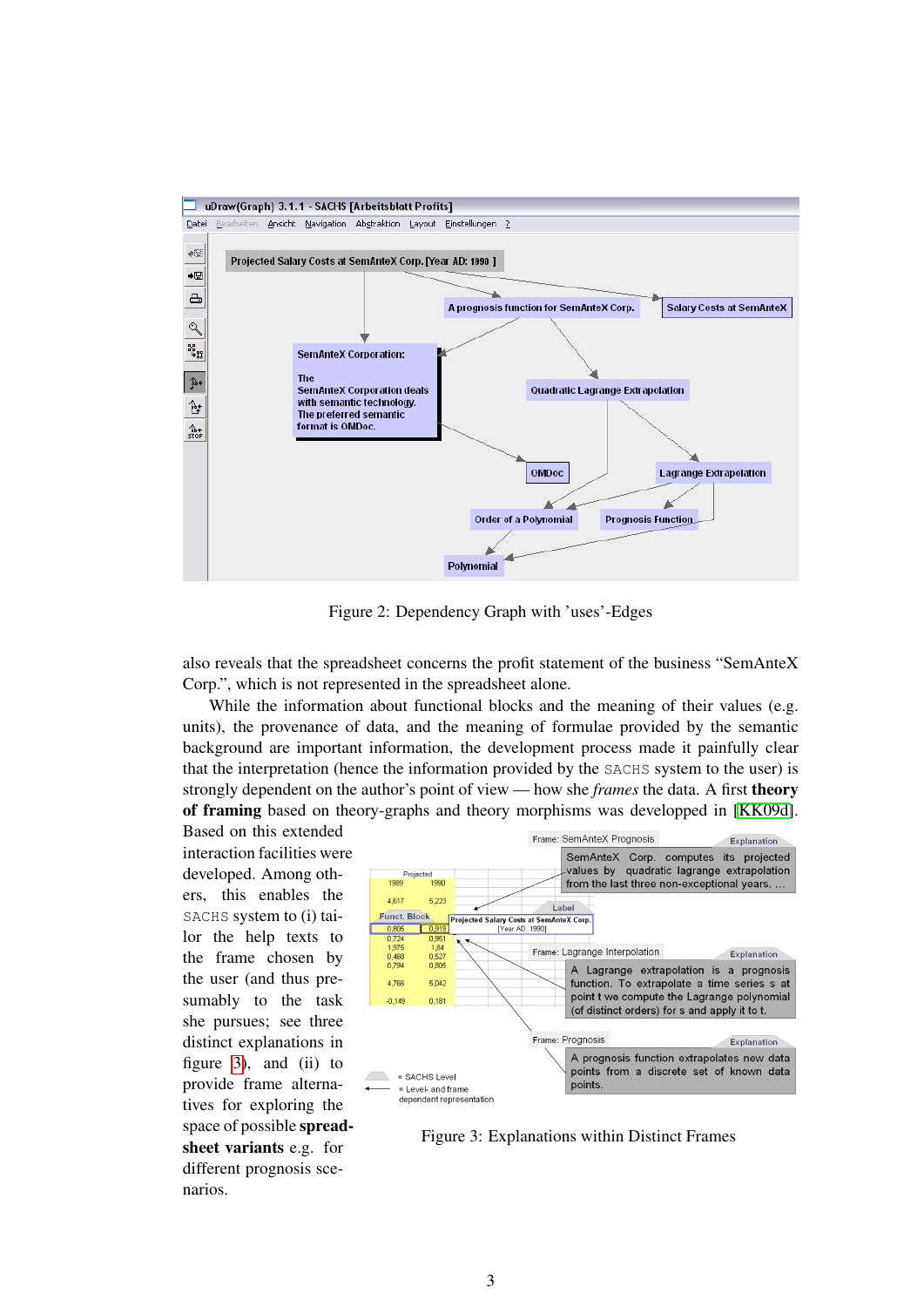

<span id="page-2-1"></span>Figure 2: Dependency Graph with 'uses'-Edges

also reveals that the spreadsheet concerns the profit statement of the business "SemAnteX Corp.", which is not represented in the spreadsheet alone.

While the information about functional blocks and the meaning of their values (e.g. units), the provenance of data, and the meaning of formulae provided by the semantic background are important information, the development process made it painfully clear that the interpretation (hence the information provided by the SACHS system to the user) is strongly dependent on the author's point of view — how she *frames* the data. A first theory of framing based on theory-graphs and theory morphisms was developped in [\[KK09d\]](#page-11-3).

Based on this extended interaction facilities were developed. Among others, this enables the SACHS system to (i) tailor the help texts to the frame chosen by the user (and thus presumably to the task she pursues; see three distinct explanations in figure [3\)](#page-2-0), and  $(ii)$  to provide frame alternatives for exploring the space of possible spreadsheet variants e.g. for different prognosis scenarios.



<span id="page-2-0"></span>Figure 3: Explanations within Distinct Frames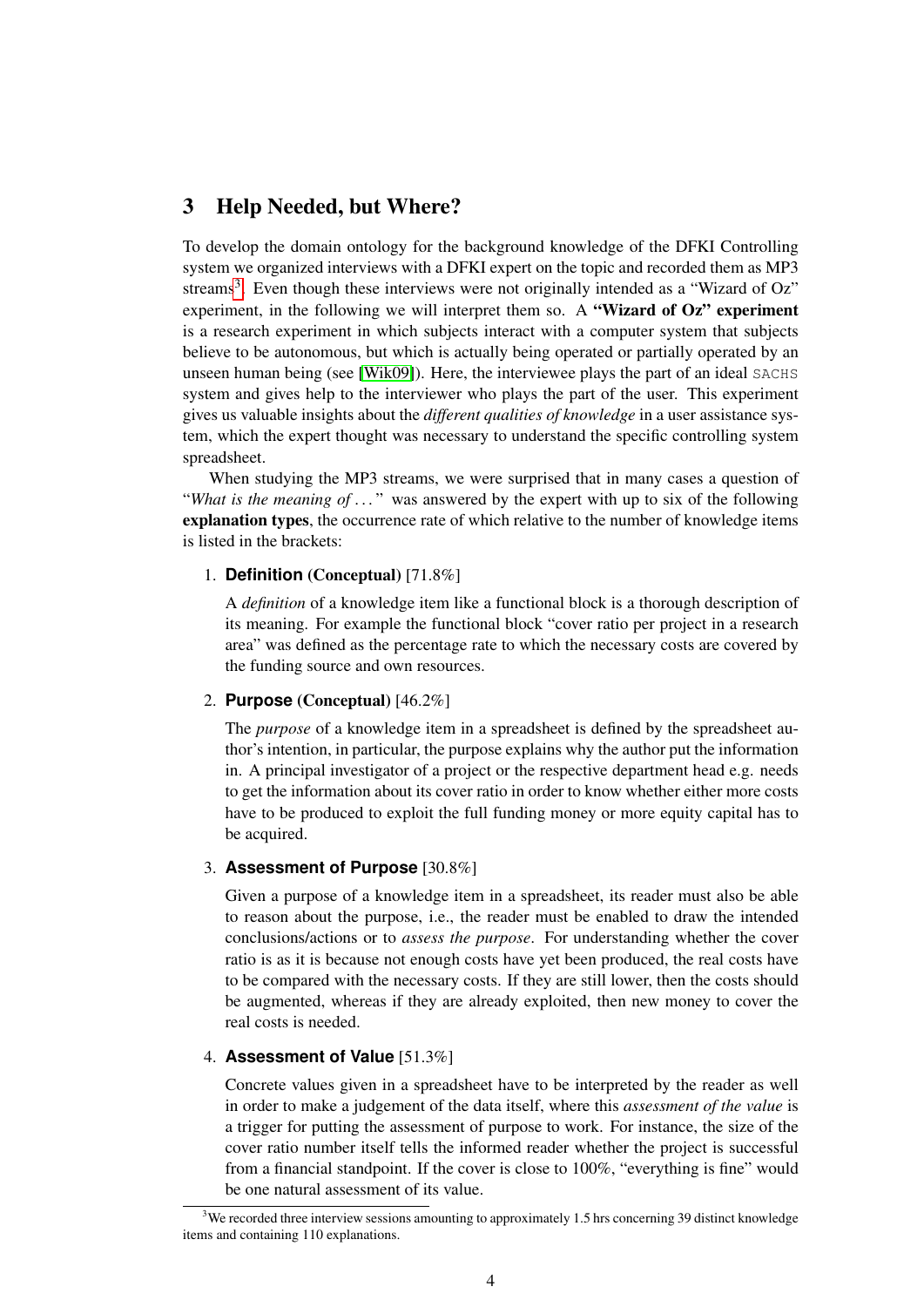## <span id="page-3-0"></span>3 Help Needed, but Where?

To develop the domain ontology for the background knowledge of the DFKI Controlling system we organized interviews with a DFKI expert on the topic and recorded them as MP3 streams<sup>[3](#page-3-1)</sup>. Even though these interviews were not originally intended as a "Wizard of Oz" experiment, in the following we will interpret them so. A "Wizard of  $Oz$ " experiment is a research experiment in which subjects interact with a computer system that subjects believe to be autonomous, but which is actually being operated or partially operated by an unseen human being (see [\[Wik09\]](#page-11-6)). Here, the interviewee plays the part of an ideal SACHS system and gives help to the interviewer who plays the part of the user. This experiment gives us valuable insights about the *different qualities of knowledge* in a user assistance system, which the expert thought was necessary to understand the specific controlling system spreadsheet.

When studying the MP3 streams, we were surprised that in many cases a question of "*What is the meaning of ...*" was answered by the expert with up to six of the following explanation types, the occurrence rate of which relative to the number of knowledge items is listed in the brackets:

#### 1. **Definition** (Conceptual) [71.8%]

A *definition* of a knowledge item like a functional block is a thorough description of its meaning. For example the functional block "cover ratio per project in a research area" was defined as the percentage rate to which the necessary costs are covered by the funding source and own resources.

#### 2. **Purpose** (Conceptual) [46.2%]

The *purpose* of a knowledge item in a spreadsheet is defined by the spreadsheet author's intention, in particular, the purpose explains why the author put the information in. A principal investigator of a project or the respective department head e.g. needs to get the information about its cover ratio in order to know whether either more costs have to be produced to exploit the full funding money or more equity capital has to be acquired.

#### 3. **Assessment of Purpose** [30.8%]

Given a purpose of a knowledge item in a spreadsheet, its reader must also be able to reason about the purpose, i.e., the reader must be enabled to draw the intended conclusions/actions or to *assess the purpose*. For understanding whether the cover ratio is as it is because not enough costs have yet been produced, the real costs have to be compared with the necessary costs. If they are still lower, then the costs should be augmented, whereas if they are already exploited, then new money to cover the real costs is needed.

#### 4. **Assessment of Value** [51.3%]

Concrete values given in a spreadsheet have to be interpreted by the reader as well in order to make a judgement of the data itself, where this *assessment of the value* is a trigger for putting the assessment of purpose to work. For instance, the size of the cover ratio number itself tells the informed reader whether the project is successful from a financial standpoint. If the cover is close to 100%, "everything is fine" would be one natural assessment of its value.

<span id="page-3-1"></span> $3$ We recorded three interview sessions amounting to approximately 1.5 hrs concerning 39 distinct knowledge items and containing 110 explanations.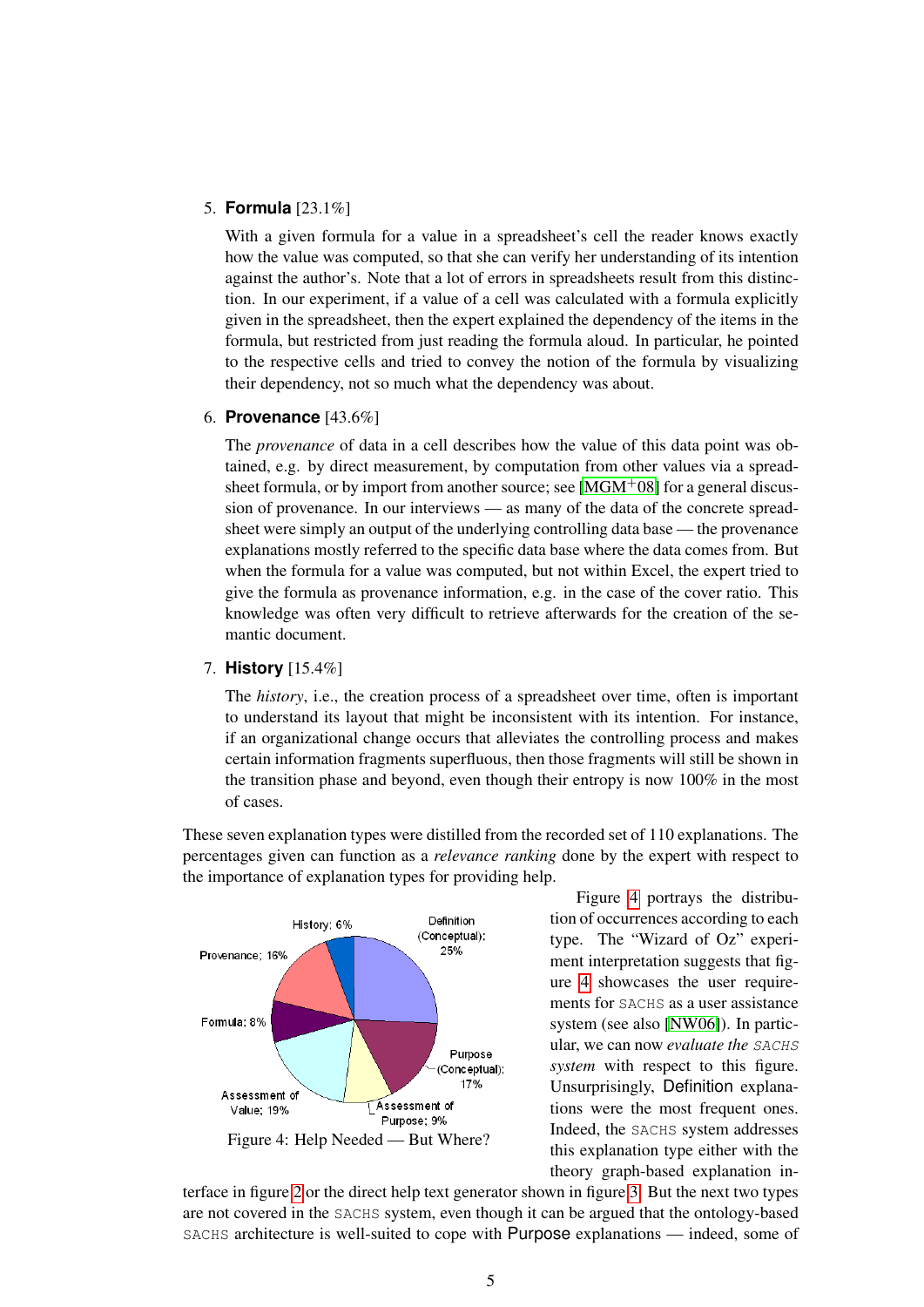#### 5. **Formula** [23.1%]

With a given formula for a value in a spreadsheet's cell the reader knows exactly how the value was computed, so that she can verify her understanding of its intention against the author's. Note that a lot of errors in spreadsheets result from this distinction. In our experiment, if a value of a cell was calculated with a formula explicitly given in the spreadsheet, then the expert explained the dependency of the items in the formula, but restricted from just reading the formula aloud. In particular, he pointed to the respective cells and tried to convey the notion of the formula by visualizing their dependency, not so much what the dependency was about.

#### 6. **Provenance** [43.6%]

The *provenance* of data in a cell describes how the value of this data point was obtained, e.g. by direct measurement, by computation from other values via a spreadsheet formula, or by import from another source; see  $[MGM^+08]$  $[MGM^+08]$  for a general discussion of provenance. In our interviews — as many of the data of the concrete spreadsheet were simply an output of the underlying controlling data base — the provenance explanations mostly referred to the specific data base where the data comes from. But when the formula for a value was computed, but not within Excel, the expert tried to give the formula as provenance information, e.g. in the case of the cover ratio. This knowledge was often very difficult to retrieve afterwards for the creation of the semantic document.

#### 7. **History** [15.4%]

The *history*, i.e., the creation process of a spreadsheet over time, often is important to understand its layout that might be inconsistent with its intention. For instance, if an organizational change occurs that alleviates the controlling process and makes certain information fragments superfluous, then those fragments will still be shown in the transition phase and beyond, even though their entropy is now 100% in the most of cases.

These seven explanation types were distilled from the recorded set of 110 explanations. The percentages given can function as a *relevance ranking* done by the expert with respect to the importance of explanation types for providing help.



Figure [4](#page-4-0) portrays the distribution of occurrences according to each type. The "Wizard of Oz" experiment interpretation suggests that figure [4](#page-4-0) showcases the user requirements for SACHS as a user assistance system (see also [\[NW06\]](#page-11-8)). In particular, we can now *evaluate the* SACHS *system* with respect to this figure. Unsurprisingly, Definition explanations were the most frequent ones. Indeed, the SACHS system addresses this explanation type either with the theory graph-based explanation in-

<span id="page-4-0"></span>terface in figure [2](#page-2-1) or the direct help text generator shown in figure [3.](#page-2-0) But the next two types are not covered in the SACHS system, even though it can be argued that the ontology-based SACHS architecture is well-suited to cope with Purpose explanations — indeed, some of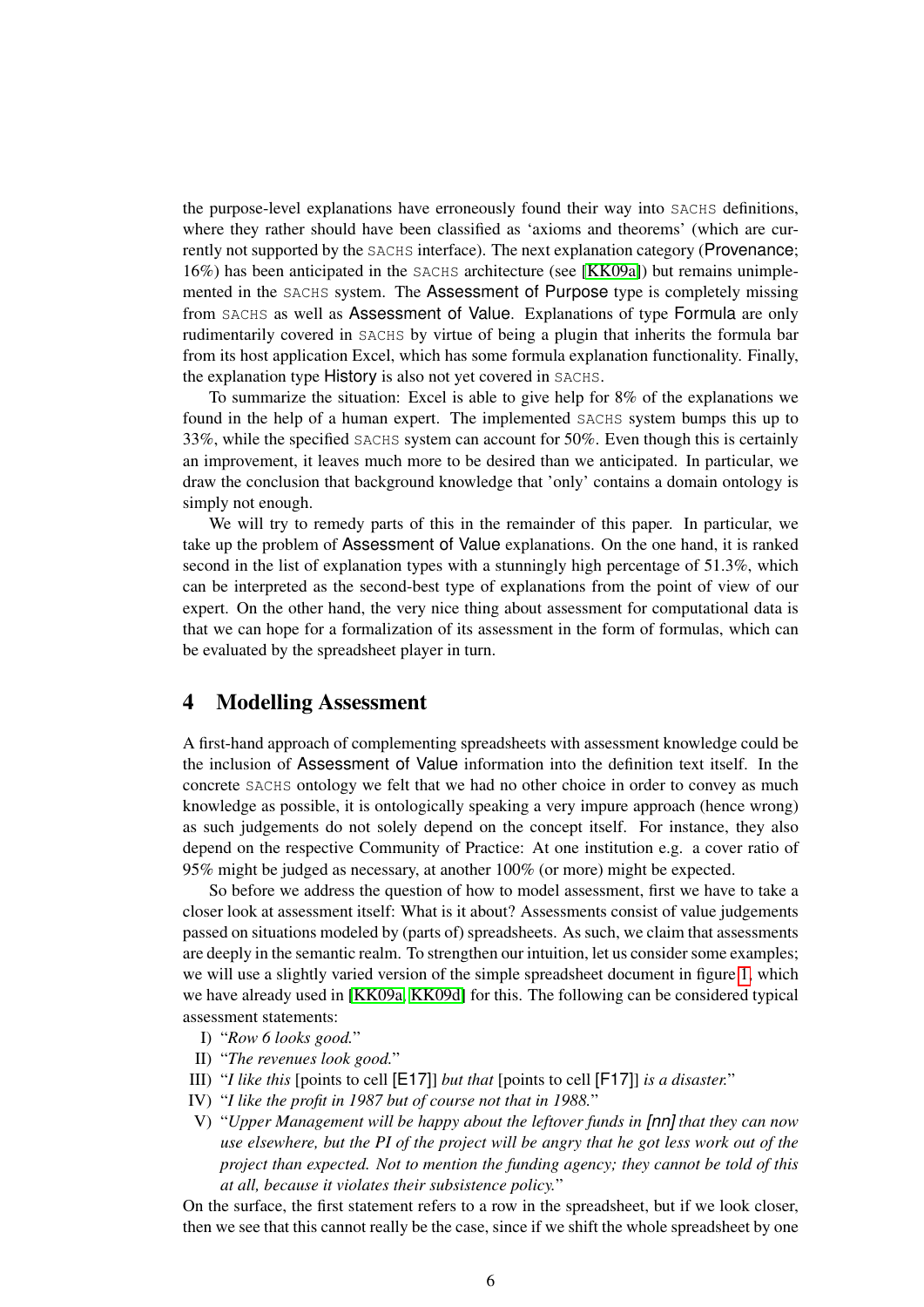the purpose-level explanations have erroneously found their way into SACHS definitions, where they rather should have been classified as 'axioms and theorems' (which are currently not supported by the SACHS interface). The next explanation category (Provenance; 16%) has been anticipated in the SACHS architecture (see [\[KK09a\]](#page-10-3)) but remains unimplemented in the SACHS system. The Assessment of Purpose type is completely missing from SACHS as well as Assessment of Value. Explanations of type Formula are only rudimentarily covered in SACHS by virtue of being a plugin that inherits the formula bar from its host application Excel, which has some formula explanation functionality. Finally, the explanation type History is also not yet covered in SACHS.

To summarize the situation: Excel is able to give help for 8% of the explanations we found in the help of a human expert. The implemented SACHS system bumps this up to 33%, while the specified SACHS system can account for 50%. Even though this is certainly an improvement, it leaves much more to be desired than we anticipated. In particular, we draw the conclusion that background knowledge that 'only' contains a domain ontology is simply not enough.

We will try to remedy parts of this in the remainder of this paper. In particular, we take up the problem of Assessment of Value explanations. On the one hand, it is ranked second in the list of explanation types with a stunningly high percentage of 51.3%, which can be interpreted as the second-best type of explanations from the point of view of our expert. On the other hand, the very nice thing about assessment for computational data is that we can hope for a formalization of its assessment in the form of formulas, which can be evaluated by the spreadsheet player in turn.

## <span id="page-5-0"></span>4 Modelling Assessment

A first-hand approach of complementing spreadsheets with assessment knowledge could be the inclusion of Assessment of Value information into the definition text itself. In the concrete SACHS ontology we felt that we had no other choice in order to convey as much knowledge as possible, it is ontologically speaking a very impure approach (hence wrong) as such judgements do not solely depend on the concept itself. For instance, they also depend on the respective Community of Practice: At one institution e.g. a cover ratio of 95% might be judged as necessary, at another 100% (or more) might be expected.

So before we address the question of how to model assessment, first we have to take a closer look at assessment itself: What is it about? Assessments consist of value judgements passed on situations modeled by (parts of) spreadsheets. As such, we claim that assessments are deeply in the semantic realm. To strengthen our intuition, let us consider some examples; we will use a slightly varied version of the simple spreadsheet document in figure [1,](#page-1-1) which we have already used in [\[KK09a,](#page-10-3) [KK09d\]](#page-11-3) for this. The following can be considered typical assessment statements:

- <span id="page-5-1"></span>I) "*Row 6 looks good.*"
- <span id="page-5-2"></span>II) "*The revenues look good.*"
- <span id="page-5-3"></span>III) "*I like this* [points to cell [E17]] *but that* [points to cell [F17]] *is a disaster.*"
- <span id="page-5-4"></span>IV) "*I like the profit in 1987 but of course not that in 1988.*"
- <span id="page-5-5"></span>V) "*Upper Management will be happy about the leftover funds in [nn] that they can now use elsewhere, but the PI of the project will be angry that he got less work out of the project than expected. Not to mention the funding agency; they cannot be told of this at all, because it violates their subsistence policy.*"

On the surface, the first statement refers to a row in the spreadsheet, but if we look closer, then we see that this cannot really be the case, since if we shift the whole spreadsheet by one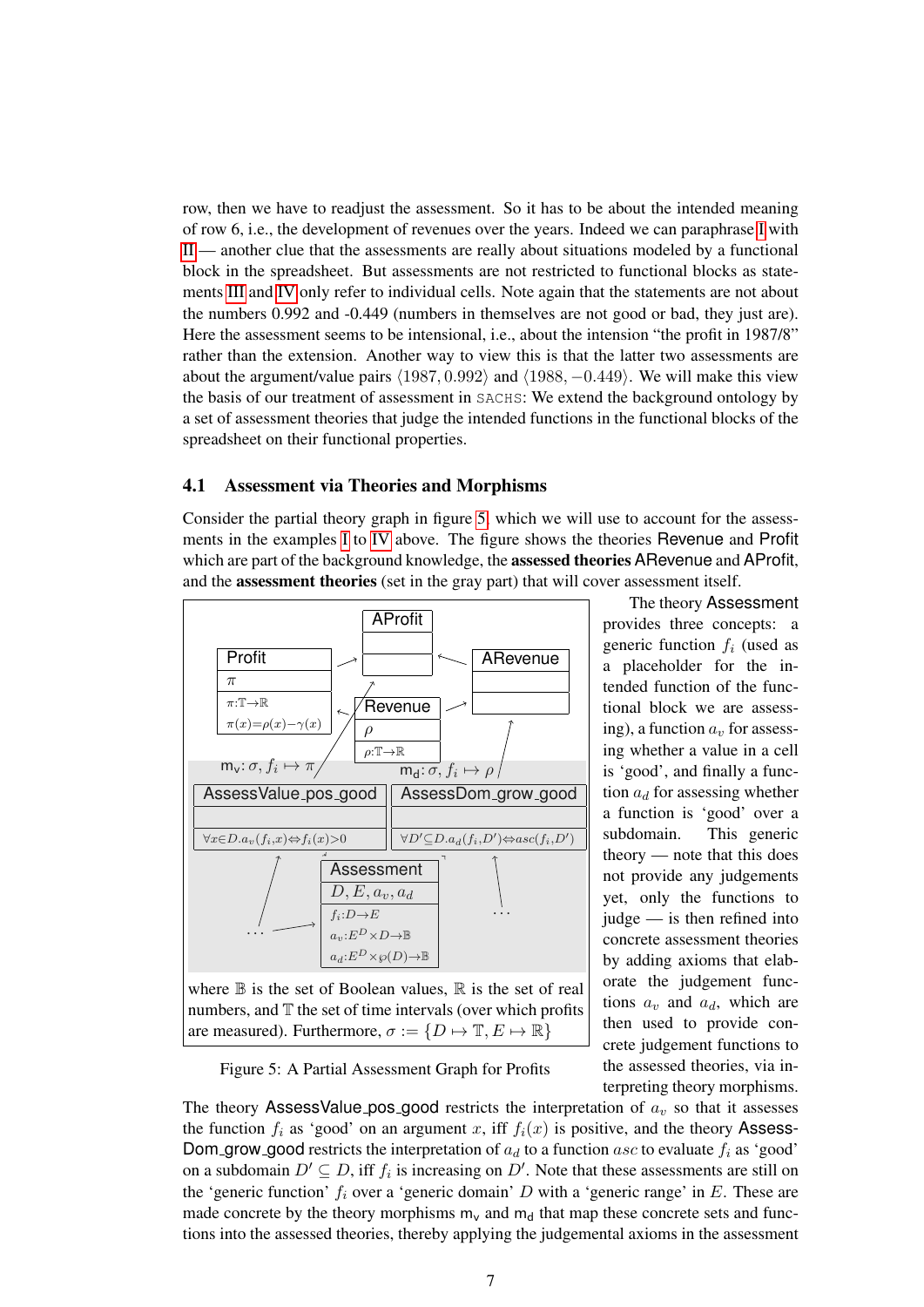row, then we have to readjust the assessment. So it has to be about the intended meaning of row 6, i.e., the development of revenues over the years. Indeed we can paraphrase [I](#page-5-1) with [II](#page-5-2) — another clue that the assessments are really about situations modeled by a functional block in the spreadsheet. But assessments are not restricted to functional blocks as statements [III](#page-5-3) and [IV](#page-5-4) only refer to individual cells. Note again that the statements are not about the numbers 0.992 and -0.449 (numbers in themselves are not good or bad, they just are). Here the assessment seems to be intensional, i.e., about the intension "the profit in 1987/8" rather than the extension. Another way to view this is that the latter two assessments are about the argument/value pairs  $\langle 1987, 0.992 \rangle$  and  $\langle 1988, -0.449 \rangle$ . We will make this view the basis of our treatment of assessment in SACHS: We extend the background ontology by a set of assessment theories that judge the intended functions in the functional blocks of the spreadsheet on their functional properties.

#### 4.1 Assessment via Theories and Morphisms

Consider the partial theory graph in figure [5,](#page-6-0) which we will use to account for the assessments in the examples [I](#page-5-1) to [IV](#page-5-4) above. The figure shows the theories Revenue and Profit which are part of the background knowledge, the assessed theories ARevenue and AProfit, and the assessment theories (set in the gray part) that will cover assessment itself.



<span id="page-6-0"></span>Figure 5: A Partial Assessment Graph for Profits

are measured). Furthermore,  $\sigma := \{D \mapsto \mathbb{T}, E \mapsto \mathbb{R}\}\$ 

The theory Assessment provides three concepts: a generic function  $f_i$  (used as a placeholder for the intended function of the functional block we are assessing), a function  $a<sub>v</sub>$  for assessing whether a value in a cell is 'good', and finally a function  $a_d$  for assessing whether a function is 'good' over a subdomain. This generic theory — note that this does not provide any judgements yet, only the functions to judge — is then refined into concrete assessment theories by adding axioms that elaborate the judgement functions  $a_v$  and  $a_d$ , which are then used to provide concrete judgement functions to the assessed theories, via interpreting theory morphisms.

The theory AssessValue pos good restricts the interpretation of  $a<sub>v</sub>$  so that it assesses the function  $f_i$  as 'good' on an argument x, iff  $f_i(x)$  is positive, and the theory Assess-Dom grow good restricts the interpretation of  $a_d$  to a function asc to evaluate  $f_i$  as 'good' on a subdomain  $D' \subseteq D$ , iff  $f_i$  is increasing on  $D'$ . Note that these assessments are still on the 'generic function'  $f_i$  over a 'generic domain' D with a 'generic range' in E. These are made concrete by the theory morphisms  $m_v$  and  $m_d$  that map these concrete sets and functions into the assessed theories, thereby applying the judgemental axioms in the assessment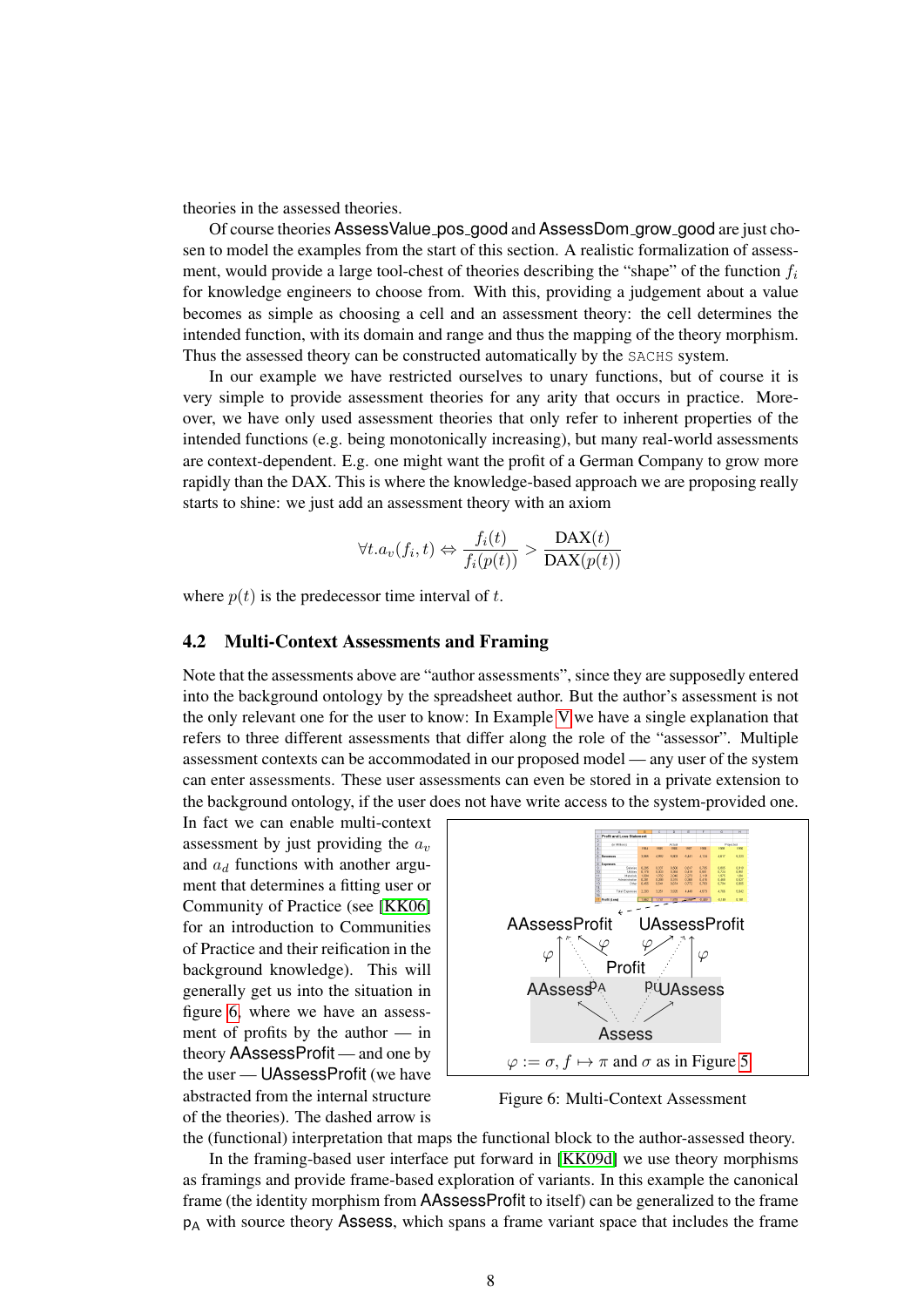theories in the assessed theories.

Of course theories AssessValue pos good and AssessDom grow good are just chosen to model the examples from the start of this section. A realistic formalization of assessment, would provide a large tool-chest of theories describing the "shape" of the function  $f_i$ for knowledge engineers to choose from. With this, providing a judgement about a value becomes as simple as choosing a cell and an assessment theory: the cell determines the intended function, with its domain and range and thus the mapping of the theory morphism. Thus the assessed theory can be constructed automatically by the SACHS system.

In our example we have restricted ourselves to unary functions, but of course it is very simple to provide assessment theories for any arity that occurs in practice. Moreover, we have only used assessment theories that only refer to inherent properties of the intended functions (e.g. being monotonically increasing), but many real-world assessments are context-dependent. E.g. one might want the profit of a German Company to grow more rapidly than the DAX. This is where the knowledge-based approach we are proposing really starts to shine: we just add an assessment theory with an axiom

$$
\forall t. a_v(f_i, t) \Leftrightarrow \frac{f_i(t)}{f_i(p(t))} > \frac{DAX(t)}{DAX(p(t))}
$$

where  $p(t)$  is the predecessor time interval of t.

#### 4.2 Multi-Context Assessments and Framing

Note that the assessments above are "author assessments", since they are supposedly entered into the background ontology by the spreadsheet author. But the author's assessment is not the only relevant one for the user to know: In Example [V](#page-5-5) we have a single explanation that refers to three different assessments that differ along the role of the "assessor". Multiple assessment contexts can be accommodated in our proposed model — any user of the system can enter assessments. These user assessments can even be stored in a private extension to the background ontology, if the user does not have write access to the system-provided one.

In fact we can enable multi-context assessment by just providing the  $a_v$ and  $a_d$  functions with another argument that determines a fitting user or Community of Practice (see [\[KK06\]](#page-10-6) for an introduction to Communities of Practice and their reification in the background knowledge). This will generally get us into the situation in figure [6,](#page-7-0) where we have an assessment of profits by the author — in theory AAssessProfit — and one by the user — UAssessProfit (we have abstracted from the internal structure of the theories). The dashed arrow is



<span id="page-7-0"></span>Figure 6: Multi-Context Assessment

the (functional) interpretation that maps the functional block to the author-assessed theory.

In the framing-based user interface put forward in [\[KK09d\]](#page-11-3) we use theory morphisms as framings and provide frame-based exploration of variants. In this example the canonical frame (the identity morphism from AAssessProfit to itself) can be generalized to the frame  $p_A$  with source theory Assess, which spans a frame variant space that includes the frame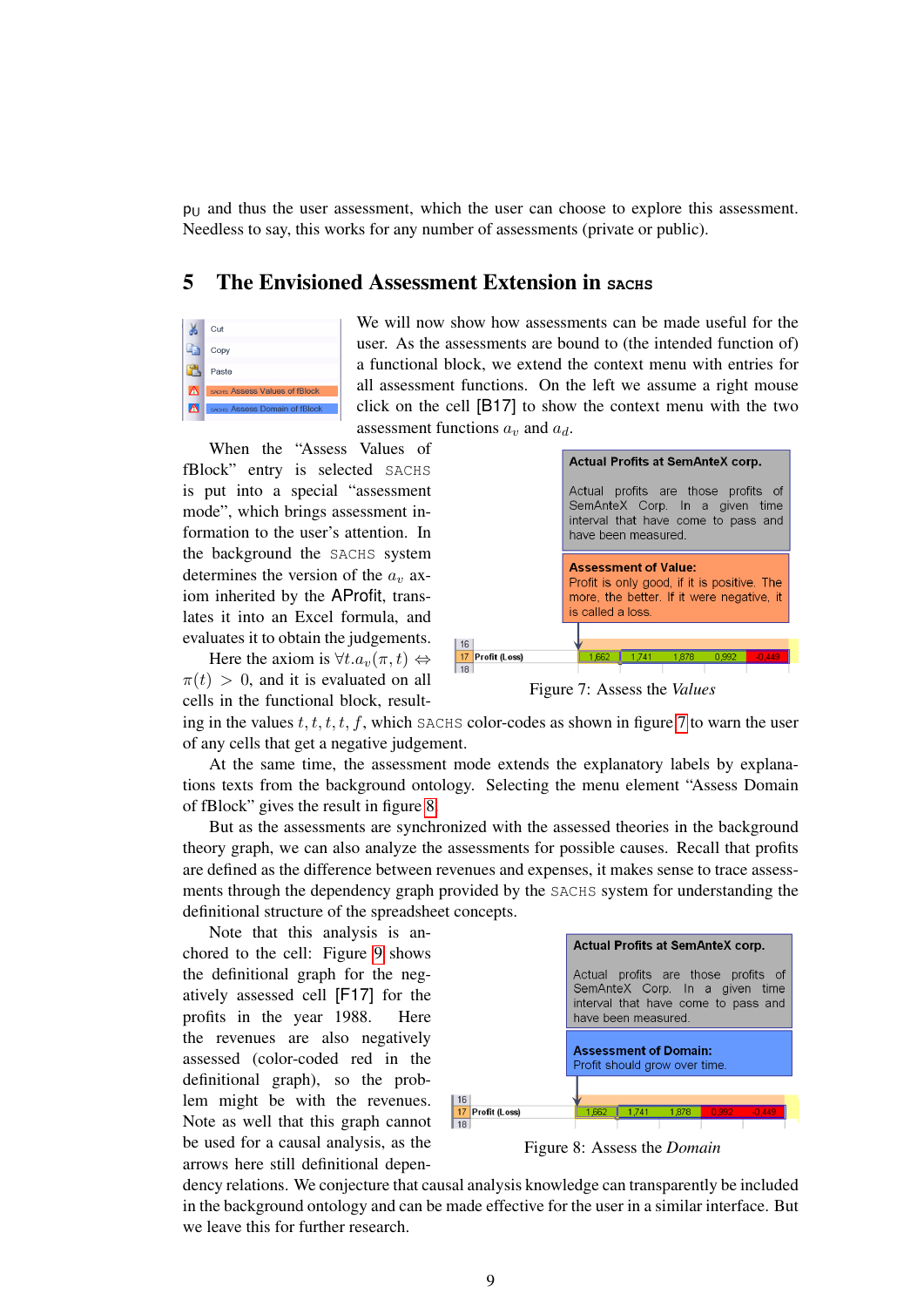$p_U$  and thus the user assessment, which the user can choose to explore this assessment. Needless to say, this works for any number of assessments (private or public).

## <span id="page-8-0"></span>5 The Envisioned Assessment Extension in **SACHS**

|   | Cut                            |
|---|--------------------------------|
|   | Copy                           |
|   | Paste                          |
| A | SACHIS ASSESS Values of fBlock |
| W | SACHS: Assess Domain of fBlock |

We will now show how assessments can be made useful for the user. As the assessments are bound to (the intended function of) a functional block, we extend the context menu with entries for all assessment functions. On the left we assume a right mouse click on the cell [B17] to show the context menu with the two assessment functions  $a_v$  and  $a_d$ .

When the "Assess Values of fBlock" entry is selected SACHS is put into a special "assessment mode", which brings assessment information to the user's attention. In the background the SACHS system determines the version of the  $a<sub>v</sub>$  axiom inherited by the AProfit, translates it into an Excel formula, and evaluates it to obtain the judgements.

Here the axiom is  $\forall t.a_v(\pi, t) \Leftrightarrow$  $\pi(t) > 0$ , and it is evaluated on all cells in the functional block, result-



<span id="page-8-1"></span>Figure 7: Assess the *Values*

ing in the values  $t, t, t, t, f$ , which SACHS color-codes as shown in figure [7](#page-8-1) to warn the user of any cells that get a negative judgement.

At the same time, the assessment mode extends the explanatory labels by explanations texts from the background ontology. Selecting the menu element "Assess Domain of fBlock" gives the result in figure [8.](#page-8-2)

But as the assessments are synchronized with the assessed theories in the background theory graph, we can also analyze the assessments for possible causes. Recall that profits are defined as the difference between revenues and expenses, it makes sense to trace assessments through the dependency graph provided by the SACHS system for understanding the definitional structure of the spreadsheet concepts.

Note that this analysis is anchored to the cell: Figure [9](#page-9-1) shows the definitional graph for the negatively assessed cell [F17] for the profits in the year 1988. Here the revenues are also negatively assessed (color-coded red in the definitional graph), so the problem might be with the revenues. Note as well that this graph cannot be used for a causal analysis, as the arrows here still definitional depen-



<span id="page-8-2"></span>Figure 8: Assess the *Domain*

dency relations. We conjecture that causal analysis knowledge can transparently be included in the background ontology and can be made effective for the user in a similar interface. But we leave this for further research.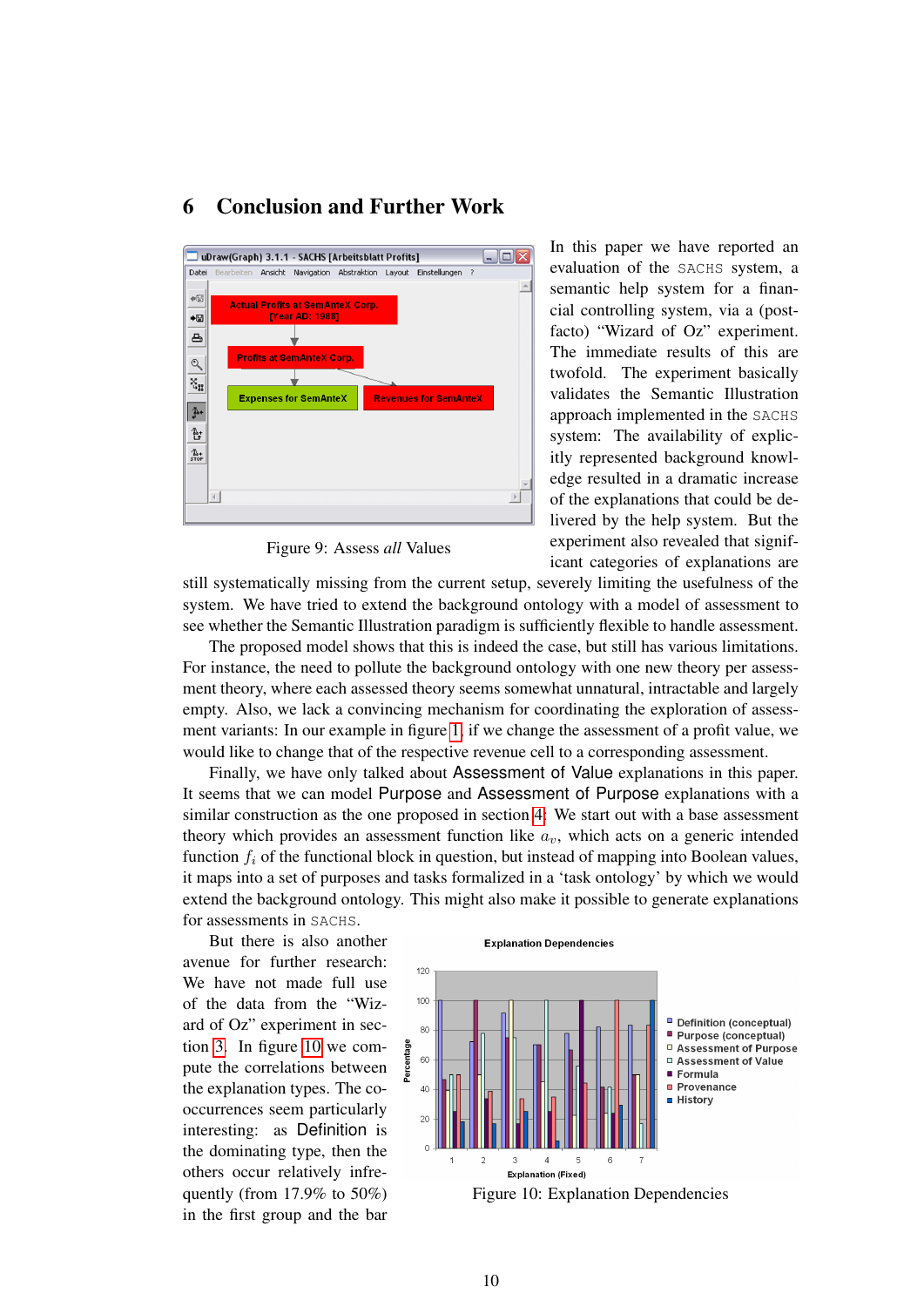

# <span id="page-9-0"></span>6 Conclusion and Further Work

<span id="page-9-1"></span>Figure 9: Assess *all* Values

In this paper we have reported an evaluation of the SACHS system, a semantic help system for a financial controlling system, via a (postfacto) "Wizard of Oz" experiment. The immediate results of this are twofold. The experiment basically validates the Semantic Illustration approach implemented in the SACHS system: The availability of explicitly represented background knowledge resulted in a dramatic increase of the explanations that could be delivered by the help system. But the experiment also revealed that significant categories of explanations are

still systematically missing from the current setup, severely limiting the usefulness of the system. We have tried to extend the background ontology with a model of assessment to see whether the Semantic Illustration paradigm is sufficiently flexible to handle assessment.

The proposed model shows that this is indeed the case, but still has various limitations. For instance, the need to pollute the background ontology with one new theory per assessment theory, where each assessed theory seems somewhat unnatural, intractable and largely empty. Also, we lack a convincing mechanism for coordinating the exploration of assessment variants: In our example in figure [1,](#page-1-1) if we change the assessment of a profit value, we would like to change that of the respective revenue cell to a corresponding assessment.

Finally, we have only talked about Assessment of Value explanations in this paper. It seems that we can model Purpose and Assessment of Purpose explanations with a similar construction as the one proposed in section [4:](#page-5-0) We start out with a base assessment theory which provides an assessment function like  $a<sub>v</sub>$ , which acts on a generic intended function  $f_i$  of the functional block in question, but instead of mapping into Boolean values, it maps into a set of purposes and tasks formalized in a 'task ontology' by which we would extend the background ontology. This might also make it possible to generate explanations for assessments in SACHS.

But there is also another avenue for further research: We have not made full use of the data from the "Wizard of Oz" experiment in section [3.](#page-3-0) In figure [10](#page-9-2) we compute the correlations between the explanation types. The cooccurrences seem particularly interesting: as Definition is the dominating type, then the others occur relatively infrequently (from 17.9% to 50%) in the first group and the bar

<span id="page-9-2"></span>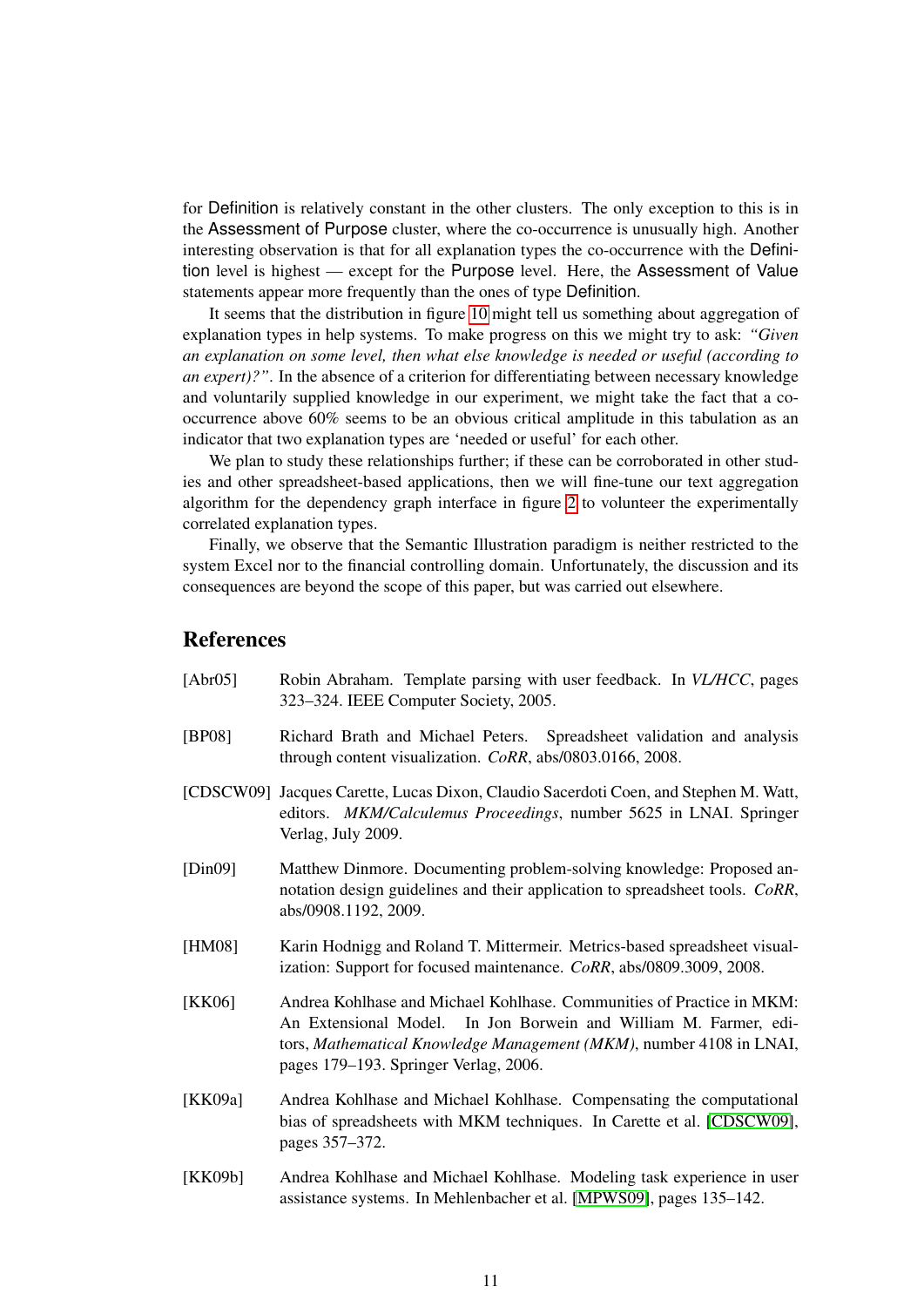for Definition is relatively constant in the other clusters. The only exception to this is in the Assessment of Purpose cluster, where the co-occurrence is unusually high. Another interesting observation is that for all explanation types the co-occurrence with the Definition level is highest — except for the Purpose level. Here, the Assessment of Value statements appear more frequently than the ones of type Definition.

It seems that the distribution in figure [10](#page-9-2) might tell us something about aggregation of explanation types in help systems. To make progress on this we might try to ask: *"Given an explanation on some level, then what else knowledge is needed or useful (according to an expert)?"*. In the absence of a criterion for differentiating between necessary knowledge and voluntarily supplied knowledge in our experiment, we might take the fact that a cooccurrence above 60% seems to be an obvious critical amplitude in this tabulation as an indicator that two explanation types are 'needed or useful' for each other.

We plan to study these relationships further; if these can be corroborated in other studies and other spreadsheet-based applications, then we will fine-tune our text aggregation algorithm for the dependency graph interface in figure [2](#page-2-1) to volunteer the experimentally correlated explanation types.

Finally, we observe that the Semantic Illustration paradigm is neither restricted to the system Excel nor to the financial controlling domain. Unfortunately, the discussion and its consequences are beyond the scope of this paper, but was carried out elsewhere.

## **References**

<span id="page-10-7"></span><span id="page-10-6"></span><span id="page-10-5"></span><span id="page-10-4"></span><span id="page-10-3"></span><span id="page-10-2"></span><span id="page-10-1"></span><span id="page-10-0"></span>[Abr05] Robin Abraham. Template parsing with user feedback. In *VL/HCC*, pages 323–324. IEEE Computer Society, 2005. [BP08] Richard Brath and Michael Peters. Spreadsheet validation and analysis through content visualization. *CoRR*, abs/0803.0166, 2008. [CDSCW09] Jacques Carette, Lucas Dixon, Claudio Sacerdoti Coen, and Stephen M. Watt, editors. *MKM/Calculemus Proceedings*, number 5625 in LNAI. Springer Verlag, July 2009. [Din09] Matthew Dinmore. Documenting problem-solving knowledge: Proposed annotation design guidelines and their application to spreadsheet tools. *CoRR*, abs/0908.1192, 2009. [HM08] Karin Hodnigg and Roland T. Mittermeir. Metrics-based spreadsheet visualization: Support for focused maintenance. *CoRR*, abs/0809.3009, 2008. [KK06] Andrea Kohlhase and Michael Kohlhase. Communities of Practice in MKM: An Extensional Model. In Jon Borwein and William M. Farmer, editors, *Mathematical Knowledge Management (MKM)*, number 4108 in LNAI, pages 179–193. Springer Verlag, 2006. [KK09a] Andrea Kohlhase and Michael Kohlhase. Compensating the computational bias of spreadsheets with MKM techniques. In Carette et al. [\[CDSCW09\]](#page-10-7), pages 357–372. [KK09b] Andrea Kohlhase and Michael Kohlhase. Modeling task experience in user assistance systems. In Mehlenbacher et al. [\[MPWS09\]](#page-11-9), pages 135–142.